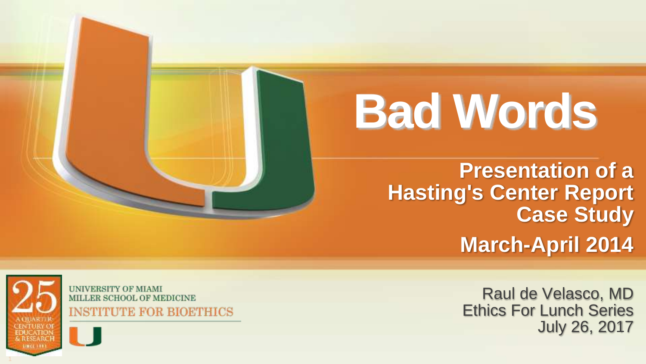**Presentation of a Hasting's Center Report Case Study March -April 2014**



**UNIVERSITY OF MIAMI** MILLER SCHOOL OF MEDICINE **INSTITUTE FOR BIOETHICS** 

Raul de Velasco, MD Ethics For Lunch Series July 26, 2017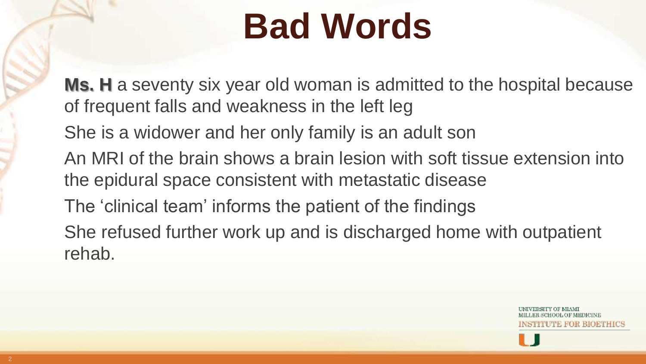**Ms. H** a seventy six year old woman is admitted to the hospital because of frequent falls and weakness in the left leg

She is a widower and her only family is an adult son

An MRI of the brain shows a brain lesion with soft tissue extension into the epidural space consistent with metastatic disease

The 'clinical team' informs the patient of the findings

She refused further work up and is discharged home with outpatient rehab.

'UTE FOR BIOETHICS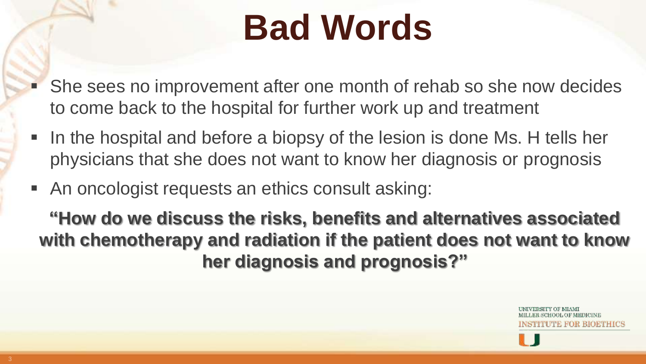- She sees no improvement after one month of rehab so she now decides to come back to the hospital for further work up and treatment
- In the hospital and before a biopsy of the lesion is done Ms. H tells her physicians that she does not want to know her diagnosis or prognosis
- An oncologist requests an ethics consult asking:

**"How do we discuss the risks, benefits and alternatives associated with chemotherapy and radiation if the patient does not want to know her diagnosis and prognosis?"**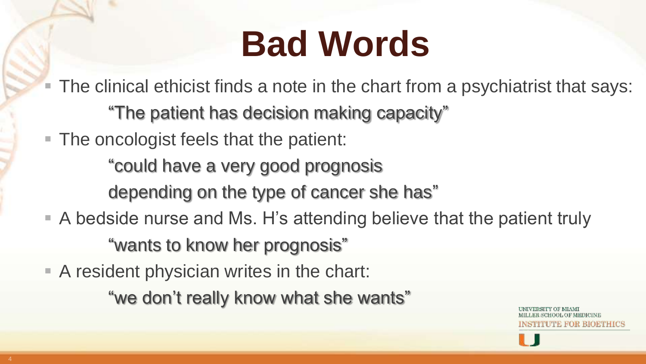- The clinical ethicist finds a note in the chart from a psychiatrist that says: "The patient has decision making capacity"
- The oncologist feels that the patient:
	- "could have a very good prognosis
	- depending on the type of cancer she has"
- A bedside nurse and Ms. H's attending believe that the patient truly "wants to know her prognosis"
- A resident physician writes in the chart:
	- "we don't really know what she wants"

JTE FOR BIOETHICS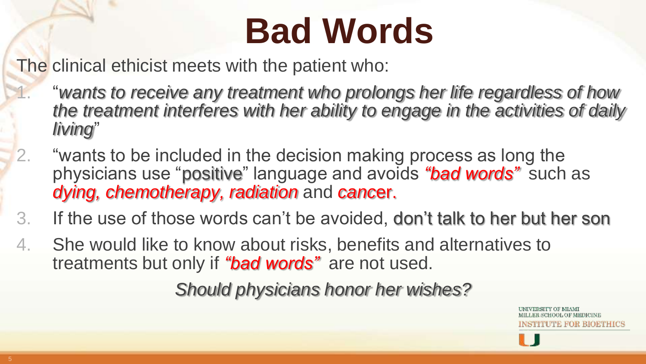The clinical ethicist meets with the patient who:

- 1. "*wants to receive any treatment who prolongs her life regardless of how the treatment interferes with her ability to engage in the activities of daily living*"
- 2. "wants to be included in the decision making process as long the physicians use "positive" language and avoids *"bad words"* such as *dying, chemotherapy, radiation* and *canc*er.
- 3. If the use of those words can't be avoided, don't talk to her but her son
- 4. She would like to know about risks, benefits and alternatives to treatments but only if *"bad words"* are not used.

*Should physicians honor her wishes?*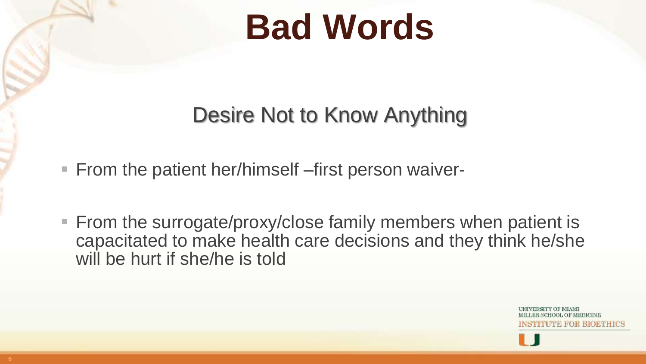#### Desire Not to Know Anything

- From the patient her/himself –first person waiver-
- From the surrogate/proxy/close family members when patient is capacitated to make health care decisions and they think he/she will be hurt if she/he is told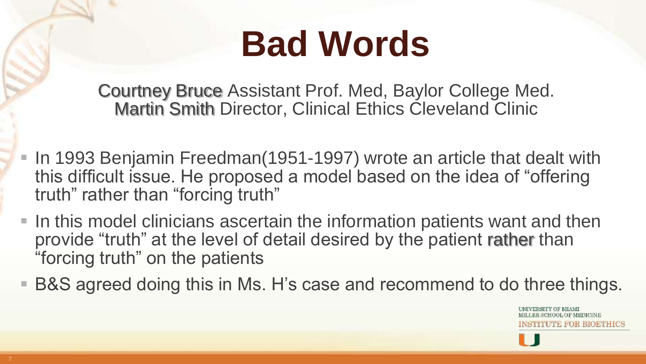Courtney Bruce Assistant Prof. Med, Baylor College Med. Martin Smith Director, Clinical Ethics Cleveland Clinic

- In 1993 Benjamin Freedman(1951-1997) wrote an article that dealt with this difficult issue. He proposed a model based on the idea of "offering truth" rather than "forcing truth"
- In this model clinicians ascertain the information patients want and then provide "truth" at the level of detail desired by the patient rather than "forcing truth" on the patients
- B&S agreed doing this in Ms. H's case and recommend to do three things.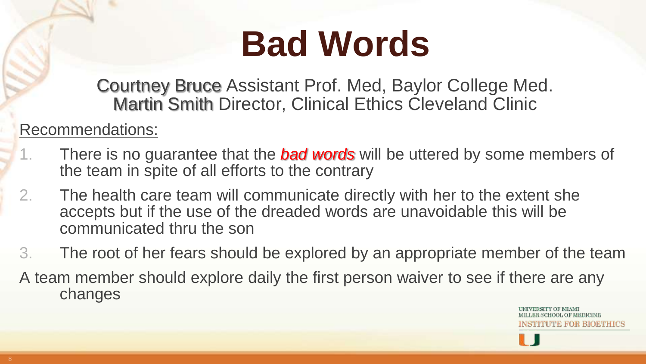Courtney Bruce Assistant Prof. Med, Baylor College Med. Martin Smith Director, Clinical Ethics Cleveland Clinic

#### Recommendations:

- 1. There is no guarantee that the *bad words* will be uttered by some members of the team in spite of all efforts to the contrary
- 2. The health care team will communicate directly with her to the extent she accepts but if the use of the dreaded words are unavoidable this will be communicated thru the son
- 3. The root of her fears should be explored by an appropriate member of the team
- A team member should explore daily the first person waiver to see if there are any changes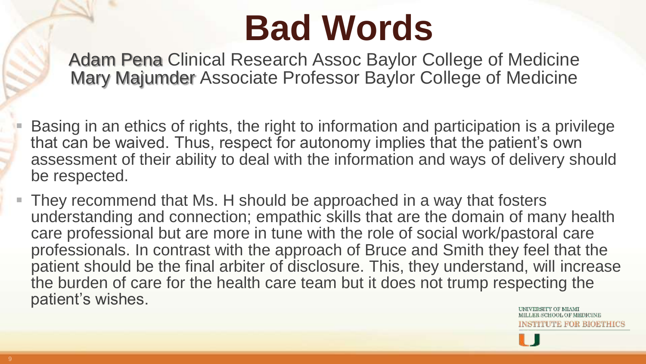Adam Pena Clinical Research Assoc Baylor College of Medicine Mary Majumder Associate Professor Baylor College of Medicine

 Basing in an ethics of rights, the right to information and participation is a privilege that can be waived. Thus, respect for autonomy implies that the patient's own assessment of their ability to deal with the information and ways of delivery should be respected.

 They recommend that Ms. H should be approached in a way that fosters understanding and connection; empathic skills that are the domain of many health care professional but are more in tune with the role of social work/pastoral care professionals. In contrast with the approach of Bruce and Smith they feel that the patient should be the final arbiter of disclosure. This, they understand, will increase the burden of care for the health care team but it does not trump respecting the patient's wishes.

SCHOOL OF MEDICINE TUTE FOR BIOETHICS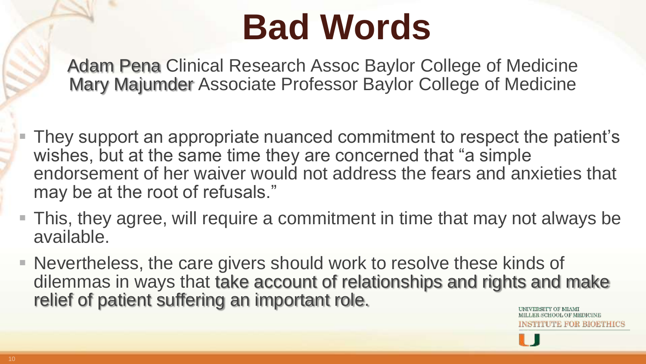Adam Pena Clinical Research Assoc Baylor College of Medicine Mary Majumder Associate Professor Baylor College of Medicine

■ They support an appropriate nuanced commitment to respect the patient's wishes, but at the same time they are concerned that "a simple endorsement of her waiver would not address the fears and anxieties that may be at the root of refusals."

- This, they agree, will require a commitment in time that may not always be available.
- Nevertheless, the care givers should work to resolve these kinds of dilemmas in ways that take account of relationships and rights and make relief of patient suffering an important role.